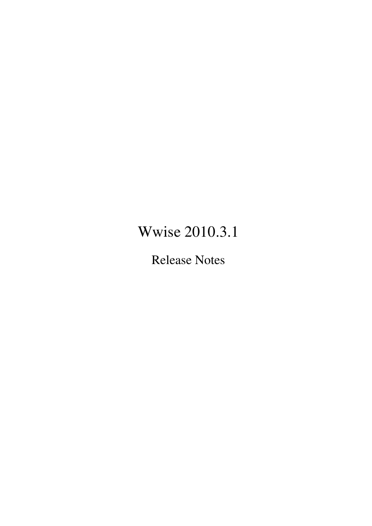# Wwise 2010.3.1

Release Notes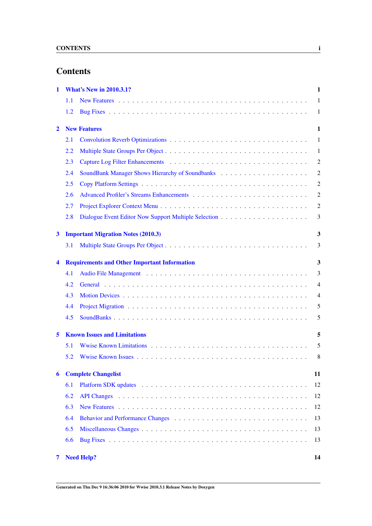# **Contents**

| 1                                                                              |     | <b>What's New in 2010.3.1?</b>            | 1              |
|--------------------------------------------------------------------------------|-----|-------------------------------------------|----------------|
|                                                                                | 1.1 |                                           | $\mathbf{1}$   |
|                                                                                | 1.2 |                                           | -1             |
| 2                                                                              |     | <b>New Features</b>                       | 1              |
|                                                                                | 2.1 |                                           | -1             |
|                                                                                | 2.2 |                                           | -1             |
|                                                                                | 2.3 |                                           | 2              |
|                                                                                | 2.4 |                                           | $\mathfrak{2}$ |
|                                                                                | 2.5 |                                           | $\mathfrak{2}$ |
|                                                                                | 2.6 |                                           | $\mathfrak{2}$ |
|                                                                                | 2.7 |                                           | 2              |
|                                                                                | 2.8 |                                           | 3              |
| 3                                                                              |     | <b>Important Migration Notes (2010.3)</b> | 3              |
|                                                                                | 3.1 |                                           | 3              |
| <b>Requirements and Other Important Information</b><br>$\overline{\mathbf{4}}$ |     |                                           | 3              |
|                                                                                | 4.1 |                                           | 3              |
|                                                                                | 4.2 |                                           | $\overline{4}$ |
|                                                                                | 4.3 |                                           | $\overline{4}$ |
|                                                                                | 4.4 |                                           | 5              |
|                                                                                | 4.5 |                                           | 5              |
| 5                                                                              |     | <b>Known Issues and Limitations</b>       | 5              |
|                                                                                | 5.1 |                                           | 5              |
|                                                                                | 5.2 |                                           | 8              |
| 6                                                                              |     | <b>Complete Changelist</b>                | 11             |
|                                                                                | 6.1 |                                           | 12             |
|                                                                                | 6.2 |                                           | 12             |
|                                                                                | 6.3 |                                           | 12             |
|                                                                                | 6.4 |                                           | 13             |
|                                                                                | 6.5 |                                           | 13             |
|                                                                                | 6.6 |                                           | 13             |
| 7                                                                              |     | <b>Need Help?</b>                         | 14             |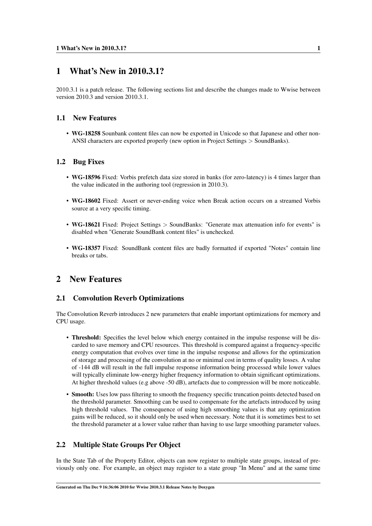# <span id="page-3-0"></span>1 What's New in 2010.3.1?

2010.3.1 is a patch release. The following sections list and describe the changes made to Wwise between version 2010.3 and version 2010.3.1.

## <span id="page-3-1"></span>1.1 New Features

• WG-18258 Sounbank content files can now be exported in Unicode so that Japanese and other non-ANSI characters are exported properly (new option in Project Settings > SoundBanks).

#### <span id="page-3-2"></span>1.2 Bug Fixes

- WG-18596 Fixed: Vorbis prefetch data size stored in banks (for zero-latency) is 4 times larger than the value indicated in the authoring tool (regression in 2010.3).
- WG-18602 Fixed: Assert or never-ending voice when Break action occurs on a streamed Vorbis source at a very specific timing.
- WG-18621 Fixed: Project Settings > SoundBanks: "Generate max attenuation info for events" is disabled when "Generate SoundBank content files" is unchecked.
- WG-18357 Fixed: SoundBank content files are badly formatted if exported "Notes" contain line breaks or tabs.

# <span id="page-3-3"></span>2 New Features

#### <span id="page-3-4"></span>2.1 Convolution Reverb Optimizations

The Convolution Reverb introduces 2 new parameters that enable important optimizations for memory and CPU usage.

- Threshold: Specifies the level below which energy contained in the impulse response will be discarded to save memory and CPU resources. This threshold is compared against a frequency-specific energy computation that evolves over time in the impulse response and allows for the optimization of storage and processing of the convolution at no or minimal cost in terms of quality losses. A value of -144 dB will result in the full impulse response information being processed while lower values will typically eliminate low-energy higher frequency information to obtain significant optimizations. At higher threshold values (e.g above -50 dB), artefacts due to compression will be more noticeable.
- Smooth: Uses low pass filtering to smooth the frequency specific truncation points detected based on the threshold parameter. Smoothing can be used to compensate for the artefacts introduced by using high threshold values. The consequence of using high smoothing values is that any optimization gains will be reduced, so it should only be used when necessary. Note that it is sometimes best to set the threshold parameter at a lower value rather than having to use large smoothing parameter values.

## <span id="page-3-6"></span><span id="page-3-5"></span>2.2 Multiple State Groups Per Object

In the State Tab of the Property Editor, objects can now register to multiple state groups, instead of previously only one. For example, an object may register to a state group "In Menu" and at the same time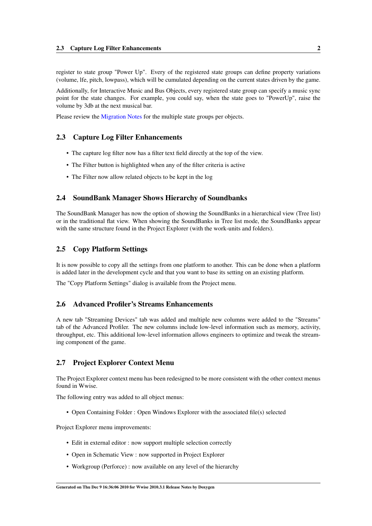register to state group "Power Up". Every of the registered state groups can define property variations (volume, lfe, pitch, lowpass), which will be cumulated depending on the current states driven by the game.

Additionally, for Interactive Music and Bus Objects, every registered state group can specify a music sync point for the state changes. For example, you could say, when the state goes to "PowerUp", raise the volume by 3db at the next musical bar.

Please review the [Migration Notes](#page-5-5) for the multiple state groups per objects.

#### <span id="page-4-0"></span>2.3 Capture Log Filter Enhancements

- <span id="page-4-5"></span>• The capture log filter now has a filter text field directly at the top of the view.
- The Filter button is highlighted when any of the filter criteria is active
- <span id="page-4-10"></span>• The Filter now allow related objects to be kept in the log

#### <span id="page-4-7"></span><span id="page-4-1"></span>2.4 SoundBank Manager Shows Hierarchy of Soundbanks

The SoundBank Manager has now the option of showing the SoundBanks in a hierarchical view (Tree list) or in the traditional flat view. When showing the SoundBanks in Tree list mode, the SoundBanks appear with the same structure found in the Project Explorer (with the work-units and folders).

#### <span id="page-4-2"></span>2.5 Copy Platform Settings

It is now possible to copy all the settings from one platform to another. This can be done when a platform is added later in the development cycle and that you want to base its setting on an existing platform.

<span id="page-4-8"></span>The "Copy Platform Settings" dialog is available from the Project menu.

#### <span id="page-4-3"></span>2.6 Advanced Profiler's Streams Enhancements

A new tab "Streaming Devices" tab was added and multiple new columns were added to the "Streams" tab of the Advanced Profiler. The new columns include low-level information such as memory, activity, throughput, etc. This additional low-level information allows engineers to optimize and tweak the streaming component of the game.

#### <span id="page-4-6"></span><span id="page-4-4"></span>2.7 Project Explorer Context Menu

The Project Explorer context menu has been redesigned to be more consistent with the other context menus found in Wwise.

The following entry was added to all object menus:

• Open Containing Folder : Open Windows Explorer with the associated file(s) selected

Project Explorer menu improvements:

- Edit in external editor : now support multiple selection correctly
- Open in Schematic View : now supported in Project Explorer
- <span id="page-4-9"></span>• Workgroup (Perforce) : now available on any level of the hierarchy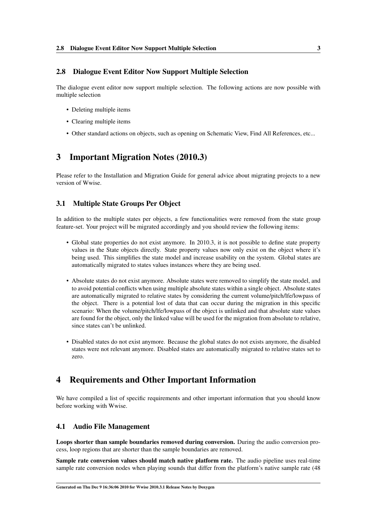## <span id="page-5-0"></span>2.8 Dialogue Event Editor Now Support Multiple Selection

The dialogue event editor now support multiple selection. The following actions are now possible with multiple selection

- Deleting multiple items
- Clearing multiple items
- Other standard actions on objects, such as opening on Schematic View, Find All References, etc...

# <span id="page-5-1"></span>3 Important Migration Notes (2010.3)

<span id="page-5-5"></span>Please refer to the Installation and Migration Guide for general advice about migrating projects to a new version of Wwise.

## <span id="page-5-2"></span>3.1 Multiple State Groups Per Object

In addition to the multiple states per objects, a few functionalities were removed from the state group feature-set. Your project will be migrated accordingly and you should review the following items:

- Global state properties do not exist anymore. In 2010.3, it is not possible to define state property values in the State objects directly. State property values now only exist on the object where it's being used. This simplifies the state model and increase usability on the system. Global states are automatically migrated to states values instances where they are being used.
- Absolute states do not exist anymore. Absolute states were removed to simplify the state model, and to avoid potential conflicts when using multiple absolute states within a single object. Absolute states are automatically migrated to relative states by considering the current volume/pitch/lfe/lowpass of the object. There is a potential lost of data that can occur during the migration in this specific scenario: When the volume/pitch/lfe/lowpass of the object is unlinked and that absolute state values are found for the object, only the linked value will be used for the migration from absolute to relative, since states can't be unlinked.
- Disabled states do not exist anymore. Because the global states do not exists anymore, the disabled states were not relevant anymore. Disabled states are automatically migrated to relative states set to zero.

# <span id="page-5-3"></span>4 Requirements and Other Important Information

We have compiled a list of specific requirements and other important information that you should know before working with Wwise.

## <span id="page-5-4"></span>4.1 Audio File Management

Loops shorter than sample boundaries removed during conversion. During the audio conversion process, loop regions that are shorter than the sample boundaries are removed.

Sample rate conversion values should match native platform rate. The audio pipeline uses real-time sample rate conversion nodes when playing sounds that differ from the platform's native sample rate (48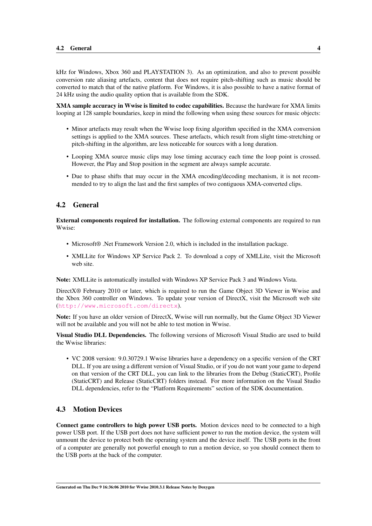kHz for Windows, Xbox 360 and PLAYSTATION 3). As an optimization, and also to prevent possible conversion rate aliasing artefacts, content that does not require pitch-shifting such as music should be converted to match that of the native platform. For Windows, it is also possible to have a native format of 24 kHz using the audio quality option that is available from the SDK.

XMA sample accuracy in Wwise is limited to codec capabilities. Because the hardware for XMA limits looping at 128 sample boundaries, keep in mind the following when using these sources for music objects:

- Minor artefacts may result when the Wwise loop fixing algorithm specified in the XMA conversion settings is applied to the XMA sources. These artefacts, which result from slight time-stretching or pitch-shifting in the algorithm, are less noticeable for sources with a long duration.
- Looping XMA source music clips may lose timing accuracy each time the loop point is crossed. However, the Play and Stop position in the segment are always sample accurate.
- Due to phase shifts that may occur in the XMA encoding/decoding mechanism, it is not recommended to try to align the last and the first samples of two contiguous XMA-converted clips.

#### <span id="page-6-0"></span>4.2 General

External components required for installation. The following external components are required to run Wwise:

- Microsoft<sup>®</sup> .Net Framework Version 2.0, which is included in the installation package.
- XMLLite for Windows XP Service Pack 2. To download a copy of XMLLite, visit the Microsoft web site.

Note: XMLLite is automatically installed with Windows XP Service Pack 3 and Windows Vista.

DirectX® February 2010 or later, which is required to run the Game Object 3D Viewer in Wwise and the Xbox 360 controller on Windows. To update your version of DirectX, visit the Microsoft web site (<http://www.microsoft.com/directx>).

Note: If you have an older version of DirectX, Wwise will run normally, but the Game Object 3D Viewer will not be available and you will not be able to test motion in Wwise.

Visual Studio DLL Dependencies. The following versions of Microsoft Visual Studio are used to build the Wwise libraries:

• VC 2008 version: 9.0.30729.1 Wwise libraries have a dependency on a specific version of the CRT DLL. If you are using a different version of Visual Studio, or if you do not want your game to depend on that version of the CRT DLL, you can link to the libraries from the Debug (StaticCRT), Profile (StaticCRT) and Release (StaticCRT) folders instead. For more information on the Visual Studio DLL dependencies, refer to the "Platform Requirements" section of the SDK documentation.

# <span id="page-6-1"></span>4.3 Motion Devices

Connect game controllers to high power USB ports. Motion devices need to be connected to a high power USB port. If the USB port does not have sufficient power to run the motion device, the system will unmount the device to protect both the operating system and the device itself. The USB ports in the front of a computer are generally not powerful enough to run a motion device, so you should connect them to the USB ports at the back of the computer.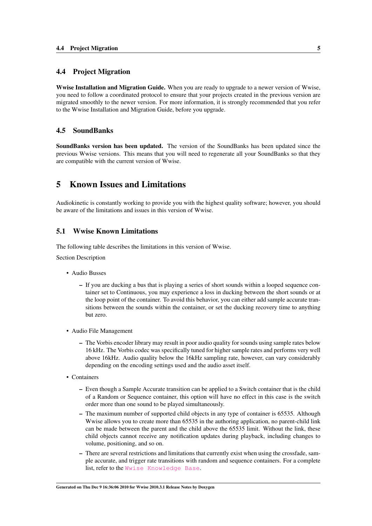### <span id="page-7-0"></span>4.4 Project Migration

Wwise Installation and Migration Guide. When you are ready to upgrade to a newer version of Wwise, you need to follow a coordinated protocol to ensure that your projects created in the previous version are migrated smoothly to the newer version. For more information, it is strongly recommended that you refer to the Wwise Installation and Migration Guide, before you upgrade.

#### <span id="page-7-1"></span>4.5 SoundBanks

SoundBanks version has been updated. The version of the SoundBanks has been updated since the previous Wwise versions. This means that you will need to regenerate all your SoundBanks so that they are compatible with the current version of Wwise.

# <span id="page-7-2"></span>5 Known Issues and Limitations

Audiokinetic is constantly working to provide you with the highest quality software; however, you should be aware of the limitations and issues in this version of Wwise.

#### <span id="page-7-3"></span>5.1 Wwise Known Limitations

The following table describes the limitations in this version of Wwise.

Section Description

- Audio Busses
	- If you are ducking a bus that is playing a series of short sounds within a looped sequence container set to Continuous, you may experience a loss in ducking between the short sounds or at the loop point of the container. To avoid this behavior, you can either add sample accurate transitions between the sounds within the container, or set the ducking recovery time to anything but zero.
- Audio File Management
	- The Vorbis encoder library may result in poor audio quality for sounds using sample rates below 16 kHz. The Vorbis codec was specifically tuned for higher sample rates and performs very well above 16kHz. Audio quality below the 16kHz sampling rate, however, can vary considerably depending on the encoding settings used and the audio asset itself.
- Containers
	- Even though a Sample Accurate transition can be applied to a Switch container that is the child of a Random or Sequence container, this option will have no effect in this case is the switch order more than one sound to be played simultaneously.
	- The maximum number of supported child objects in any type of container is 65535. Although Wwise allows you to create more than 65535 in the authoring application, no parent-child link can be made between the parent and the child above the 65535 limit. Without the link, these child objects cannot receive any notification updates during playback, including changes to volume, positioning, and so on.
	- There are several restrictions and limitations that currently exist when using the crossfade, sample accurate, and trigger rate transitions with random and sequence containers. For a complete list, refer to the [Wwise Knowledge Base](http://kb.gowwise.com/).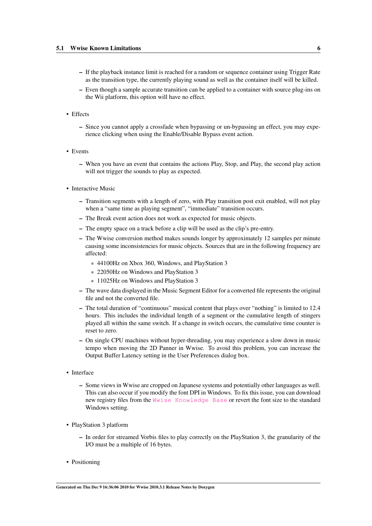- If the playback instance limit is reached for a random or sequence container using Trigger Rate as the transition type, the currently playing sound as well as the container itself will be killed.
- Even though a sample accurate transition can be applied to a container with source plug-ins on the Wii platform, this option will have no effect.
- Effects
	- Since you cannot apply a crossfade when bypassing or un-bypassing an effect, you may experience clicking when using the Enable/Disable Bypass event action.
- Events
	- When you have an event that contains the actions Play, Stop, and Play, the second play action will not trigger the sounds to play as expected.
- Interactive Music
	- Transition segments with a length of zero, with Play transition post exit enabled, will not play when a "same time as playing segment", "immediate" transition occurs.
	- The Break event action does not work as expected for music objects.
	- The empty space on a track before a clip will be used as the clip's pre-entry.
	- The Wwise conversion method makes sounds longer by approximately 12 samples per minute causing some inconsistencies for music objects. Sources that are in the following frequency are affected:
		- \* 44100Hz on Xbox 360, Windows, and PlayStation 3
		- \* 22050Hz on Windows and PlayStation 3
		- \* 11025Hz on Windows and PlayStation 3
	- The wave data displayed in the Music Segment Editor for a converted file represents the original file and not the converted file.
	- The total duration of "continuous" musical content that plays over "nothing" is limited to 12.4 hours. This includes the individual length of a segment or the cumulative length of stingers played all within the same switch. If a change in switch occurs, the cumulative time counter is reset to zero.
	- On single CPU machines without hyper-threading, you may experience a slow down in music tempo when moving the 2D Panner in Wwise. To avoid this problem, you can increase the Output Buffer Latency setting in the User Preferences dialog box.
- Interface
	- Some views in Wwise are cropped on Japanese systems and potentially other languages as well. This can also occur if you modify the font DPI in Windows. To fix this issue, you can download new registry files from the [Wwise Knowledge Base](http://kb.gowwise.com/) or revert the font size to the standard Windows setting.
- PlayStation 3 platform
	- In order for streamed Vorbis files to play correctly on the PlayStation 3, the granularity of the I/O must be a multiple of 16 bytes.
- Positioning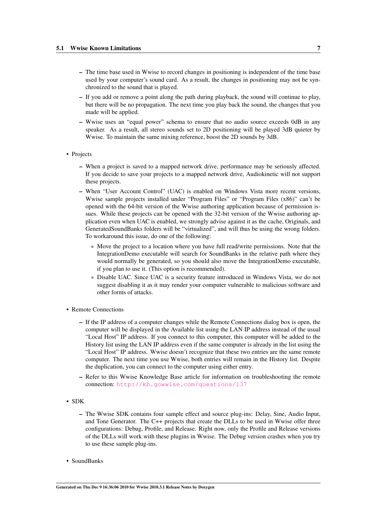- The time base used in Wwise to record changes in positioning is independent of the time base used by your computer's sound card. As a result, the changes in positioning may not be synchronized to the sound that is played.
- If you add or remove a point along the path during playback, the sound will continue to play, but there will be no propagation. The next time you play back the sound, the changes that you made will be applied.
- Wwise uses an "equal power" schema to ensure that no audio source exceeds 0dB in any speaker. As a result, all stereo sounds set to 2D positioning will be played 3dB quieter by Wwise. To maintain the same mixing reference, boost the 2D sounds by 3dB.
- Projects
	- When a project is saved to a mapped network drive, performance may be seriously affected. If you decide to save your projects to a mapped network drive, Audiokinetic will not support these projects.
	- When "User Account Control" (UAC) is enabled on Windows Vista more recent versions, Wwise sample projects installed under "Program Files" or "Program Files (x86)" can't be opened with the 64-bit version of the Wwise authoring application because of permission issues. While these projects can be opened with the 32-bit version of the Wwise authoring application even when UAC is enabled, we strongly advise against it as the cache, Originals, and GeneratedSoundBanks folders will be "virtualized", and will thus be using the wrong folders. To workaround this issue, do one of the following:
		- \* Move the project to a location where you have full read/write permissions. Note that the IntegrationDemo executable will search for SoundBanks in the relative path where they would normally be generated, so you should also move the IntegrationDemo executable, if you plan to use it. (This option is recommended).
		- \* Disable UAC. Since UAC is a security feature introduced in Windows Vista, we do not suggest disabling it as it may render your computer vulnerable to malicious software and other forms of attacks.
- Remote Connections
	- If the IP address of a computer changes while the Remote Connections dialog box is open, the computer will be displayed in the Available list using the LAN IP address instead of the usual "Local Host" IP address. If you connect to this computer, this computer will be added to the History list using the LAN IP address even if the same computer is already in the list using the "Local Host" IP address. Wwise doesn't recognize that these two entries are the same remote computer. The next time you use Wwise, both entries will remain in the History list. Despite the duplication, you can connect to the computer using either entry.
	- Refer to this Wwise Knowledge Base article for information on troubleshooting the remote connection: <http://kb.gowwise.com/questions/137>
- SDK
	- The Wwise SDK contains four sample effect and source plug-ins: Delay, Sine, Audio Input, and Tone Generator. The C++ projects that create the DLLs to be used in Wwise offer three configurations: Debug, Profile, and Release. Right now, only the Profile and Release versions of the DLLs will work with these plugins in Wwise. The Debug version crashes when you try to use these sample plug-ins.
- SoundBanks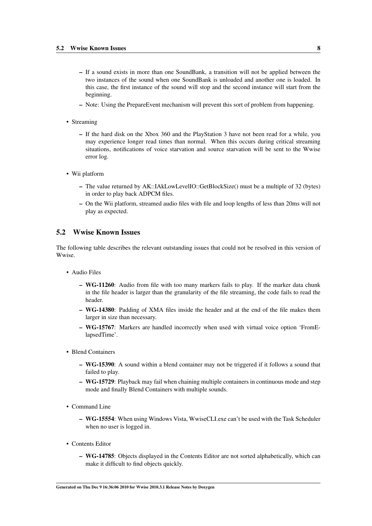- If a sound exists in more than one SoundBank, a transition will not be applied between the two instances of the sound when one SoundBank is unloaded and another one is loaded. In this case, the first instance of the sound will stop and the second instance will start from the beginning.
- Note: Using the PrepareEvent mechanism will prevent this sort of problem from happening.
- Streaming
	- If the hard disk on the Xbox 360 and the PlayStation 3 have not been read for a while, you may experience longer read times than normal. When this occurs during critical streaming situations, notifications of voice starvation and source starvation will be sent to the Wwise error log.
- Wii platform
	- The value returned by AK::IAkLowLevelIO::GetBlockSize() must be a multiple of 32 (bytes) in order to play back ADPCM files.
	- On the Wii platform, streamed audio files with file and loop lengths of less than 20ms will not play as expected.

# <span id="page-10-0"></span>5.2 Wwise Known Issues

The following table describes the relevant outstanding issues that could not be resolved in this version of Wwise.

- Audio Files
	- WG-11260: Audio from file with too many markers fails to play. If the marker data chunk in the file header is larger than the granularity of the file streaming, the code fails to read the header.
	- WG-14380: Padding of XMA files inside the header and at the end of the file makes them larger in size than necessary.
	- WG-15767: Markers are handled incorrectly when used with virtual voice option 'FromElapsedTime'.
- Blend Containers
	- WG-15390: A sound within a blend container may not be triggered if it follows a sound that failed to play.
	- WG-15729: Playback may fail when chaining multiple containers in continuous mode and step mode and finally Blend Containers with multiple sounds.
- Command Line
	- WG-15554: When using Windows Vista, WwiseCLI.exe can't be used with the Task Scheduler when no user is logged in.
- Contents Editor
	- WG-14785: Objects displayed in the Contents Editor are not sorted alphabetically, which can make it difficult to find objects quickly.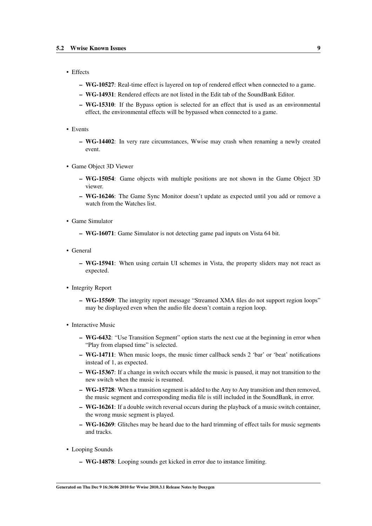- Effects
	- WG-10527: Real-time effect is layered on top of rendered effect when connected to a game.
	- WG-14931: Rendered effects are not listed in the Edit tab of the SoundBank Editor.
	- WG-15310: If the Bypass option is selected for an effect that is used as an environmental effect, the environmental effects will be bypassed when connected to a game.
- Events
	- WG-14402: In very rare circumstances, Wwise may crash when renaming a newly created event.
- Game Object 3D Viewer
	- WG-15054: Game objects with multiple positions are not shown in the Game Object 3D viewer.
	- WG-16246: The Game Sync Monitor doesn't update as expected until you add or remove a watch from the Watches list.
- Game Simulator
	- WG-16071: Game Simulator is not detecting game pad inputs on Vista 64 bit.
- General
	- WG-15941: When using certain UI schemes in Vista, the property sliders may not react as expected.
- Integrity Report
	- WG-15569: The integrity report message "Streamed XMA files do not support region loops" may be displayed even when the audio file doesn't contain a region loop.
- Interactive Music
	- WG-6432: "Use Transition Segment" option starts the next cue at the beginning in error when "Play from elapsed time" is selected.
	- WG-14711: When music loops, the music timer callback sends 2 'bar' or 'beat' notifications instead of 1, as expected.
	- WG-15367: If a change in switch occurs while the music is paused, it may not transition to the new switch when the music is resumed.
	- WG-15728: When a transition segment is added to the Any to Any transition and then removed, the music segment and corresponding media file is still included in the SoundBank, in error.
	- WG-16261: If a double switch reversal occurs during the playback of a music switch container, the wrong music segment is played.
	- WG-16269: Glitches may be heard due to the hard trimming of effect tails for music segments and tracks.
- Looping Sounds
	- WG-14878: Looping sounds get kicked in error due to instance limiting.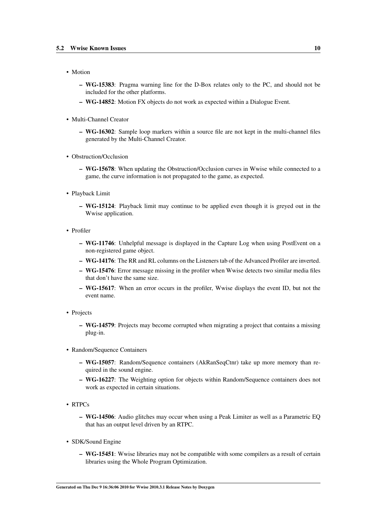- Motion
	- WG-15383: Pragma warning line for the D-Box relates only to the PC, and should not be included for the other platforms.
	- WG-14852: Motion FX objects do not work as expected within a Dialogue Event.
- Multi-Channel Creator
	- WG-16302: Sample loop markers within a source file are not kept in the multi-channel files generated by the Multi-Channel Creator.
- Obstruction/Occlusion
	- WG-15678: When updating the Obstruction/Occlusion curves in Wwise while connected to a game, the curve information is not propagated to the game, as expected.
- Playback Limit
	- WG-15124: Playback limit may continue to be applied even though it is greyed out in the Wwise application.
- Profiler
	- WG-11746: Unhelpful message is displayed in the Capture Log when using PostEvent on a non-registered game object.
	- WG-14176: The RR and RL columns on the Listeners tab of the Advanced Profiler are inverted.
	- WG-15476: Error message missing in the profiler when Wwise detects two similar media files that don't have the same size.
	- WG-15617: When an error occurs in the profiler, Wwise displays the event ID, but not the event name.
- Projects
	- WG-14579: Projects may become corrupted when migrating a project that contains a missing plug-in.
- Random/Sequence Containers
	- WG-15057: Random/Sequence containers (AkRanSeqCtnr) take up more memory than required in the sound engine.
	- WG-16227: The Weighting option for objects within Random/Sequence containers does not work as expected in certain situations.
- RTPCs
	- WG-14506: Audio glitches may occur when using a Peak Limiter as well as a Parametric EQ that has an output level driven by an RTPC.
- SDK/Sound Engine
	- WG-15451: Wwise libraries may not be compatible with some compilers as a result of certain libraries using the Whole Program Optimization.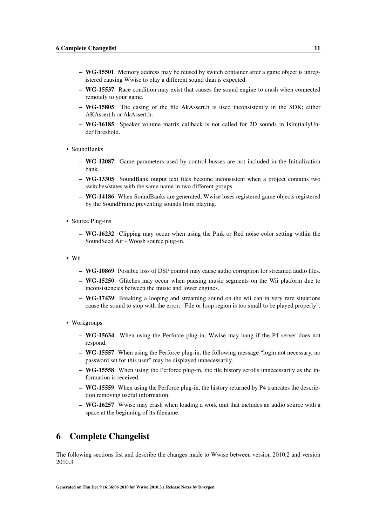- WG-15501: Memory address may be reused by switch container after a game object is unregistered causing Wwise to play a different sound than is expected.
- WG-15537: Race condition may exist that causes the sound engine to crash when connected remotely to your game.
- WG-15805: The casing of the file AkAssert.h is used inconsistently in the SDK; either AKAssert h or AkAssert h.
- WG-16185: Speaker volume matrix callback is not called for 2D sounds in IsInitiallyUnderThreshold.
- SoundBanks
	- WG-12087: Game parameters used by control busses are not included in the Initialization bank.
	- WG-13305: SoundBank output text files become inconsistent when a project contains two switches/states with the same name in two different groups.
	- WG-14186: When SoundBanks are generated, Wwise loses registered game objects registered by the SoundFrame preventing sounds from playing.
- Source Plug-ins
	- WG-16232: Clipping may occur when using the Pink or Red noise color setting within the SoundSeed Air - Woosh source plug-in.
- Wii
	- WG-10869: Possible loss of DSP control may cause audio corruption for streamed audio files.
	- WG-15250: Glitches may occur when pausing music segments on the Wii platform due to inconsistencies between the music and lower engines.
	- WG-17439: Breaking a looping and streaming sound on the wii can in very rare situations cause the sound to stop with the error: "File or loop region is too small to be played properly".
- Workgroups
	- WG-15634: When using the Perforce plug-in, Wwise may hang if the P4 server does not respond.
	- WG-15557: When using the Perforce plug-in, the following message "login not necessary, no password set for this user" may be displayed unnecessarily.
	- WG-15558: When using the Perforce plug-in, the file history scrolls unnecessarily as the information is received.
	- WG-15559: When using the Perforce plug-in, the history returned by P4 truncates the description removing useful information.
	- WG-16257: Wwise may crash when loading a work unit that includes an audio source with a space at the beginning of its filename.

# <span id="page-13-0"></span>6 Complete Changelist

The following sections list and describe the changes made to Wwise between version 2010.2 and version 2010.3.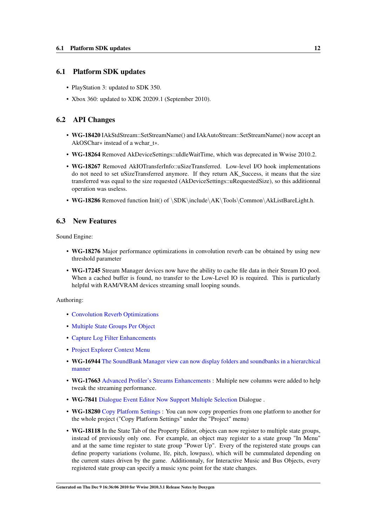#### <span id="page-14-0"></span>6.1 Platform SDK updates

- PlayStation 3: updated to SDK 350.
- Xbox 360: updated to XDK 20209.1 (September 2010).

#### <span id="page-14-1"></span>6.2 API Changes

- WG-18420 IAkStdStream::SetStreamName() and IAkAutoStream::SetStreamName() now accept an AkOSChar∗ instead of a wchar\_t∗.
- WG-18264 Removed AkDeviceSettings::uIdleWaitTime, which was deprecated in Wwise 2010.2.
- WG-18267 Removed AkIOTransferInfo::uSizeTransferred. Low-level I/O hook implementations do not need to set uSizeTransferred anymore. If they return AK Success, it means that the size transferred was equal to the size requested (AkDeviceSettings::uRequestedSize), so this additionnal operation was useless.
- WG-18286 Removed function Init() of \SDK\include\AK\Tools\Common\AkListBareLight.h.

#### <span id="page-14-2"></span>6.3 New Features

Sound Engine:

- WG-18276 Major performance optimizations in convolution reverb can be obtained by using new threshold parameter
- WG-17245 Stream Manager devices now have the ability to cache file data in their Stream IO pool. When a cached buffer is found, no transfer to the Low-Level IO is required. This is particularly helpful with RAM/VRAM devices streaming small looping sounds.

#### Authoring:

- [Convolution Reverb Optimizations](#page-3-4)
- [Multiple State Groups Per Object](#page-3-6)
- [Capture Log Filter Enhancements](#page-4-5)
- [Project Explorer Context Menu](#page-4-6)
- WG-16944 [The SoundBank Manager view can now display folders and soundbanks in a hierarchical](#page-4-7) [manner](#page-4-7)
- WG-17663 [Advanced Profiler's Streams Enhancements](#page-4-8) : Multiple new columns were added to help tweak the streaming performance.
- WG-7841 [Dialogue Event Editor Now Support Multiple Selection](#page-4-9) Dialogue .
- WG-18280 [Copy Platform Settings](#page-4-10) : You can now copy properties from one platform to another for the whole project ("Copy Platform Settings" under the "Project" menu)
- WG-18118 In the State Tab of the Property Editor, objects can now register to multiple state groups, instead of previously only one. For example, an object may register to a state group "In Menu" and at the same time register to state group "Power Up". Every of the registered state groups can define property variations (volume, lfe, pitch, lowpass), which will be cummulated depending on the current states driven by the game. Additionnaly, for Interactive Music and Bus Objects, every registered state group can specify a music sync point for the state changes.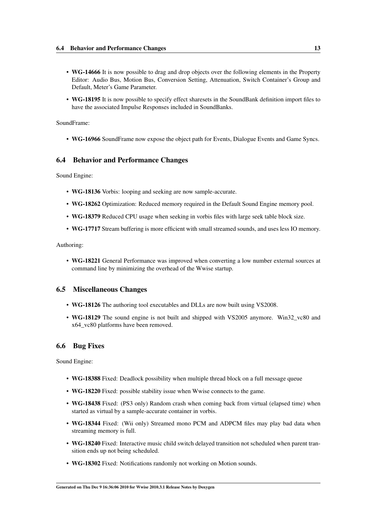- WG-14666 It is now possible to drag and drop objects over the following elements in the Property Editor: Audio Bus, Motion Bus, Conversion Setting, Attenuation, Switch Container's Group and Default, Meter's Game Parameter.
- WG-18195 It is now possible to specify effect sharesets in the SoundBank definition import files to have the associated Impulse Responses included in SoundBanks.

#### SoundFrame:

• WG-16966 SoundFrame now expose the object path for Events, Dialogue Events and Game Syncs.

#### <span id="page-15-0"></span>6.4 Behavior and Performance Changes

Sound Engine:

- WG-18136 Vorbis: looping and seeking are now sample-accurate.
- WG-18262 Optimization: Reduced memory required in the Default Sound Engine memory pool.
- WG-18379 Reduced CPU usage when seeking in vorbis files with large seek table block size.
- WG-17717 Stream buffering is more efficient with small streamed sounds, and uses less IO memory.

Authoring:

• WG-18221 General Performance was improved when converting a low number external sources at command line by minimizing the overhead of the Wwise startup.

#### <span id="page-15-1"></span>6.5 Miscellaneous Changes

- WG-18126 The authoring tool executables and DLLs are now built using VS2008.
- WG-18129 The sound engine is not built and shipped with VS2005 anymore. Win32\_vc80 and x64\_vc80 platforms have been removed.

### <span id="page-15-2"></span>6.6 Bug Fixes

Sound Engine:

- WG-18388 Fixed: Deadlock possibility when multiple thread block on a full message queue
- WG-18220 Fixed: possible stability issue when Wwise connects to the game.
- WG-18438 Fixed: (PS3 only) Random crash when coming back from virtual (elapsed time) when started as virtual by a sample-accurate container in vorbis.
- WG-18344 Fixed: (Wii only) Streamed mono PCM and ADPCM files may play bad data when streaming memory is full.
- WG-18240 Fixed: Interactive music child switch delayed transition not scheduled when parent transition ends up not being scheduled.
- WG-18302 Fixed: Notifications randomly not working on Motion sounds.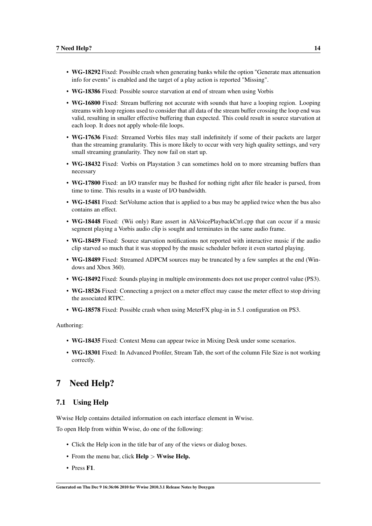- WG-18292 Fixed: Possible crash when generating banks while the option "Generate max attenuation info for events" is enabled and the target of a play action is reported "Missing".
- WG-18386 Fixed: Possible source starvation at end of stream when using Vorbis
- WG-16800 Fixed: Stream buffering not accurate with sounds that have a looping region. Looping streams with loop regions used to consider that all data of the stream buffer crossing the loop end was valid, resulting in smaller effective buffering than expected. This could result in source starvation at each loop. It does not apply whole-file loops.
- WG-17636 Fixed: Streamed Vorbis files may stall indefinitely if some of their packets are larger than the streaming granularity. This is more likely to occur with very high quality settings, and very small streaming granularity. They now fail on start up.
- WG-18432 Fixed: Vorbis on Playstation 3 can sometimes hold on to more streaming buffers than necessary
- WG-17800 Fixed: an I/O transfer may be flushed for nothing right after file header is parsed, from time to time. This results in a waste of I/O bandwidth.
- WG-15481 Fixed: SetVolume action that is applied to a bus may be applied twice when the bus also contains an effect.
- WG-18448 Fixed: (Wii only) Rare assert in AkVoicePlaybackCtrl.cpp that can occur if a music segment playing a Vorbis audio clip is sought and terminates in the same audio frame.
- WG-18459 Fixed: Source starvation notifications not reported with interactive music if the audio clip starved so much that it was stopped by the music scheduler before it even started playing.
- WG-18489 Fixed: Streamed ADPCM sources may be truncated by a few samples at the end (Windows and Xbox 360).
- WG-18492 Fixed: Sounds playing in multiple environments does not use proper control value (PS3).
- WG-18526 Fixed: Connecting a project on a meter effect may cause the meter effect to stop driving the associated RTPC.
- WG-18578 Fixed: Possible crash when using MeterFX plug-in in 5.1 configuration on PS3.

Authoring:

- WG-18435 Fixed: Context Menu can appear twice in Mixing Desk under some scenarios.
- WG-18301 Fixed: In Advanced Profiler, Stream Tab, the sort of the column File Size is not working correctly.

# <span id="page-16-0"></span>7 Need Help?

#### <span id="page-16-1"></span>7.1 Using Help

Wwise Help contains detailed information on each interface element in Wwise.

To open Help from within Wwise, do one of the following:

- Click the Help icon in the title bar of any of the views or dialog boxes.
- From the menu bar, click Help > Wwise Help.
- Press F1.